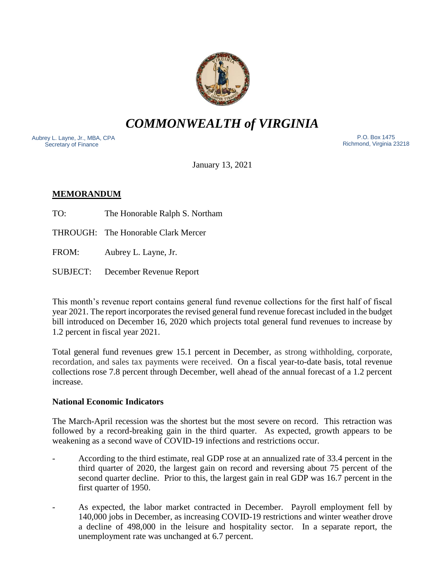

*COMMONWEALTH of VIRGINIA*

Aubrey L. Layne, Jr., MBA, CPA Secretary of Finance

 P.O. Box 1475 Richmond, Virginia 23218

January 13, 2021

# **MEMORANDUM**

TO: The Honorable Ralph S. Northam

THROUGH: The Honorable Clark Mercer

FROM: Aubrey L. Layne, Jr.

SUBJECT: December Revenue Report

This month's revenue report contains general fund revenue collections for the first half of fiscal year 2021. The report incorporates the revised general fund revenue forecast included in the budget bill introduced on December 16, 2020 which projects total general fund revenues to increase by 1.2 percent in fiscal year 2021.

Total general fund revenues grew 15.1 percent in December, as strong withholding, corporate, recordation, and sales tax payments were received. On a fiscal year-to-date basis, total revenue collections rose 7.8 percent through December, well ahead of the annual forecast of a 1.2 percent increase.

### **National Economic Indicators**

The March-April recession was the shortest but the most severe on record. This retraction was followed by a record-breaking gain in the third quarter. As expected, growth appears to be weakening as a second wave of COVID-19 infections and restrictions occur.

- According to the third estimate, real GDP rose at an annualized rate of 33.4 percent in the third quarter of 2020, the largest gain on record and reversing about 75 percent of the second quarter decline. Prior to this, the largest gain in real GDP was 16.7 percent in the first quarter of 1950.
- As expected, the labor market contracted in December. Payroll employment fell by 140,000 jobs in December, as increasing COVID-19 restrictions and winter weather drove a decline of 498,000 in the leisure and hospitality sector. In a separate report, the unemployment rate was unchanged at 6.7 percent.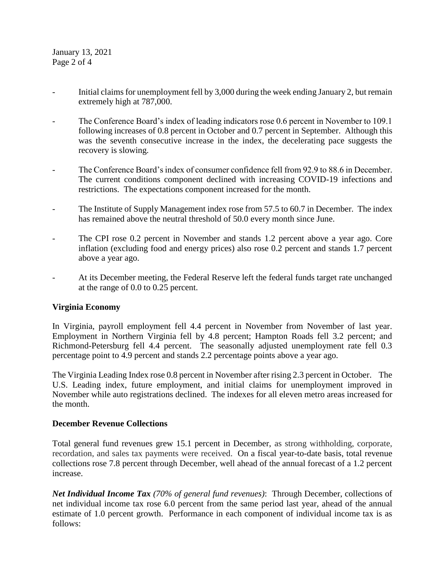January 13, 2021 Page 2 of 4

- Initial claims for unemployment fell by 3,000 during the week ending January 2, but remain extremely high at 787,000.
- The Conference Board's index of leading indicators rose 0.6 percent in November to 109.1 following increases of 0.8 percent in October and 0.7 percent in September. Although this was the seventh consecutive increase in the index, the decelerating pace suggests the recovery is slowing.
- The Conference Board's index of consumer confidence fell from 92.9 to 88.6 in December. The current conditions component declined with increasing COVID-19 infections and restrictions. The expectations component increased for the month.
- The Institute of Supply Management index rose from 57.5 to 60.7 in December. The index has remained above the neutral threshold of 50.0 every month since June.
- The CPI rose 0.2 percent in November and stands 1.2 percent above a year ago. Core inflation (excluding food and energy prices) also rose 0.2 percent and stands 1.7 percent above a year ago.
- At its December meeting, the Federal Reserve left the federal funds target rate unchanged at the range of 0.0 to 0.25 percent.

### **Virginia Economy**

In Virginia, payroll employment fell 4.4 percent in November from November of last year. Employment in Northern Virginia fell by 4.8 percent; Hampton Roads fell 3.2 percent; and Richmond-Petersburg fell 4.4 percent. The seasonally adjusted unemployment rate fell 0.3 percentage point to 4.9 percent and stands 2.2 percentage points above a year ago.

The Virginia Leading Index rose 0.8 percent in November after rising 2.3 percent in October. The U.S. Leading index, future employment, and initial claims for unemployment improved in November while auto registrations declined. The indexes for all eleven metro areas increased for the month.

### **December Revenue Collections**

Total general fund revenues grew 15.1 percent in December, as strong withholding, corporate, recordation, and sales tax payments were received. On a fiscal year-to-date basis, total revenue collections rose 7.8 percent through December, well ahead of the annual forecast of a 1.2 percent increase.

*Net Individual Income Tax (70% of general fund revenues)*: Through December, collections of net individual income tax rose 6.0 percent from the same period last year, ahead of the annual estimate of 1.0 percent growth. Performance in each component of individual income tax is as follows: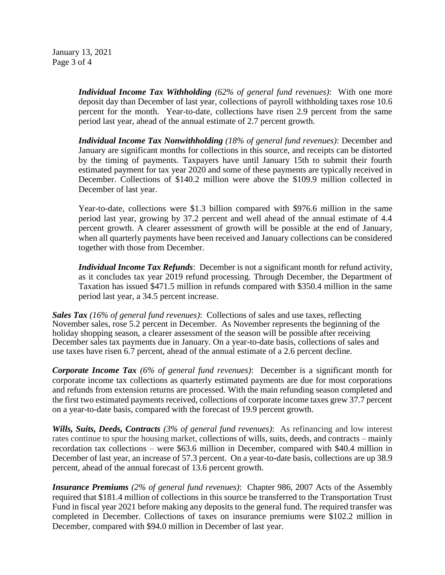January 13, 2021 Page 3 of 4

> *Individual Income Tax Withholding (62% of general fund revenues)*: With one more deposit day than December of last year, collections of payroll withholding taxes rose 10.6 percent for the month. Year-to-date, collections have risen 2.9 percent from the same period last year, ahead of the annual estimate of 2.7 percent growth.

> *Individual Income Tax Nonwithholding (18% of general fund revenues)*: December and January are significant months for collections in this source, and receipts can be distorted by the timing of payments. Taxpayers have until January 15th to submit their fourth estimated payment for tax year 2020 and some of these payments are typically received in December. Collections of \$140.2 million were above the \$109.9 million collected in December of last year.

> Year-to-date, collections were \$1.3 billion compared with \$976.6 million in the same period last year, growing by 37.2 percent and well ahead of the annual estimate of 4.4 percent growth. A clearer assessment of growth will be possible at the end of January, when all quarterly payments have been received and January collections can be considered together with those from December.

> *Individual Income Tax Refunds*: December is not a significant month for refund activity, as it concludes tax year 2019 refund processing. Through December, the Department of Taxation has issued \$471.5 million in refunds compared with \$350.4 million in the same period last year, a 34.5 percent increase.

*Sales Tax (16% of general fund revenues)*: Collections of sales and use taxes, reflecting November sales, rose 5.2 percent in December. As November represents the beginning of the holiday shopping season, a clearer assessment of the season will be possible after receiving December sales tax payments due in January. On a year-to-date basis, collections of sales and use taxes have risen 6.7 percent, ahead of the annual estimate of a 2.6 percent decline.

*Corporate Income Tax (6% of general fund revenues)*: December is a significant month for corporate income tax collections as quarterly estimated payments are due for most corporations and refunds from extension returns are processed. With the main refunding season completed and the first two estimated payments received, collections of corporate income taxes grew 37.7 percent on a year-to-date basis, compared with the forecast of 19.9 percent growth.

*Wills, Suits, Deeds, Contracts (3% of general fund revenues)*: As refinancing and low interest rates continue to spur the housing market, collections of wills, suits, deeds, and contracts – mainly recordation tax collections – were \$63.6 million in December, compared with \$40.4 million in December of last year, an increase of 57.3 percent. On a year-to-date basis, collections are up 38.9 percent, ahead of the annual forecast of 13.6 percent growth.

*Insurance Premiums (2% of general fund revenues)*: Chapter 986, 2007 Acts of the Assembly required that \$181.4 million of collections in this source be transferred to the Transportation Trust Fund in fiscal year 2021 before making any deposits to the general fund. The required transfer was completed in December. Collections of taxes on insurance premiums were \$102.2 million in December, compared with \$94.0 million in December of last year.